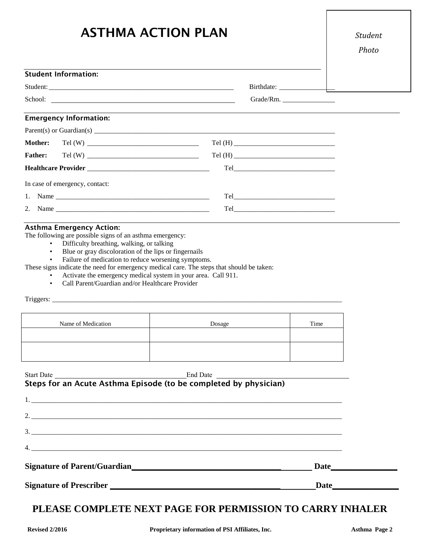# **ASTHMA ACTION PLAN**

#### **Student Information:**

| Student:<br>__________                     | -----             |
|--------------------------------------------|-------------------|
| $^{\circ}$ <sup>-</sup> h <sub>001</sub> . | $C_{\text{mod}a}$ |

### **Emergency Information:**

| In case of emergency, contact: |  |  |  |  |  |
|--------------------------------|--|--|--|--|--|
|                                |  |  |  |  |  |
|                                |  |  |  |  |  |

#### **Asthma Emergency Action:**

The following are possible signs of an asthma emergency:

- Difficulty breathing, walking, or talking
- Blue or gray discoloration of the lips or fingernails

Failure of medication to reduce worsening symptoms.

These signs indicate the need for emergency medical care. The steps that should be taken:

- Activate the emergency medical system in your area. Call 911.
- Call Parent/Guardian and/or Healthcare Provider

Triggers: \_\_\_\_\_\_\_\_\_\_\_\_\_\_\_\_\_\_\_\_\_\_\_\_\_\_\_\_\_\_\_\_\_\_\_\_\_\_\_\_\_\_\_\_\_\_\_\_\_\_\_\_\_\_\_\_\_\_\_\_\_\_\_\_\_\_\_\_\_\_\_\_\_\_\_\_\_\_\_\_\_\_\_

| Name of Medication | Dosage | Time |
|--------------------|--------|------|
|                    |        |      |
|                    |        |      |

#### Start Date End Date **Steps for an Acute Asthma Episode (to be completed by physician)**

| Date |  |
|------|--|

## **PLEASE COMPLETE NEXT PAGE FOR PERMISSION TO CARRY INHALER**